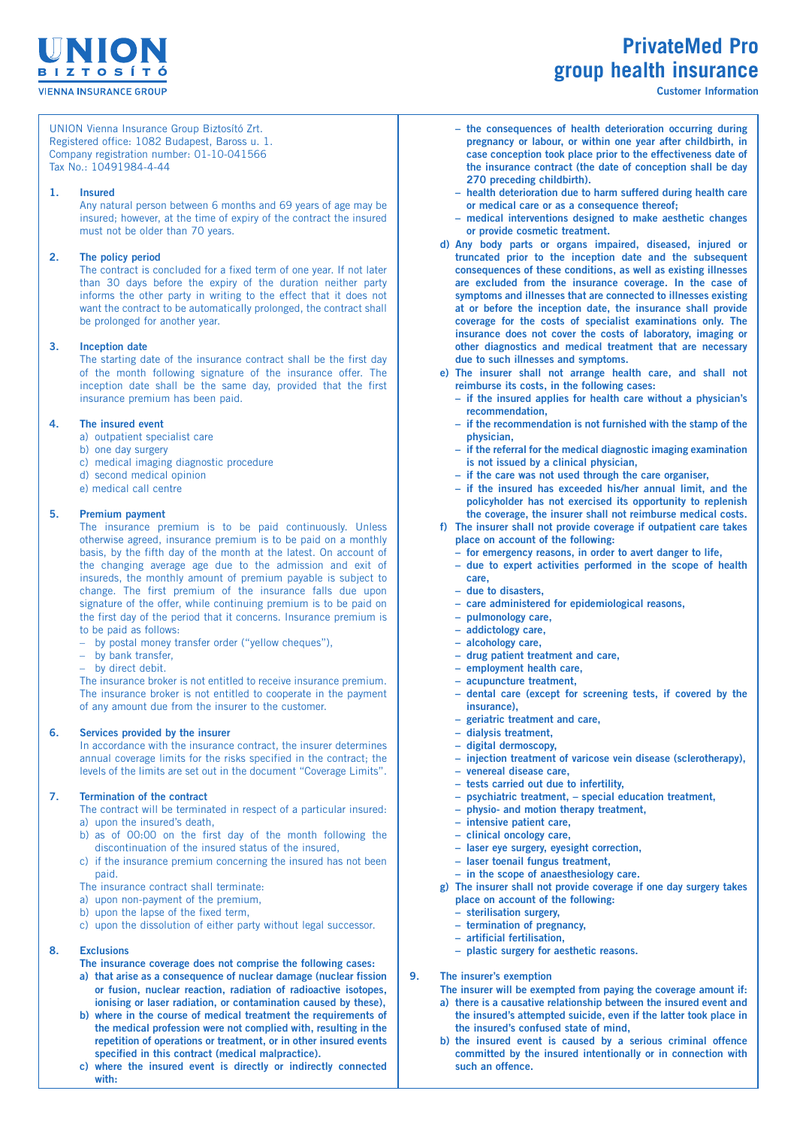

# **PrivateMed Pro group health insurance**

**Customer Information**

 UNION Vienna Insurance Group Biztosító Zrt. Registered office: 1082 Budapest, Baross u. 1. Company registration number: 01-10-041566 Tax No.: 10491984-4-44

## **1. Insured**

 Any natural person between 6 months and 69 years of age may be insured; however, at the time of expiry of the contract the insured must not be older than 70 years.

## **2. The policy period**

 The contract is concluded for a fixed term of one year. If not later than 30 days before the expiry of the duration neither party informs the other party in writing to the effect that it does not want the contract to be automatically prolonged, the contract shall be prolonged for another year.

## **3. Inception date**

 The starting date of the insurance contract shall be the first day of the month following signature of the insurance offer. The inception date shall be the same day, provided that the first insurance premium has been paid.

## **4. The insured event**

- a) outpatient specialist care
- b) one day surgery
- c) medical imaging diagnostic procedure
- d) second medical opinion e) medical call centre

## **5. Premium payment**

 The insurance premium is to be paid continuously. Unless otherwise agreed, insurance premium is to be paid on a monthly basis, by the fifth day of the month at the latest. On account of the changing average age due to the admission and exit of insureds, the monthly amount of premium payable is subject to change. The first premium of the insurance falls due upon signature of the offer, while continuing premium is to be paid on the first day of the period that it concerns. Insurance premium is to be paid as follows:

- by postal money transfer order ("yellow cheques"),
- by bank transfer,
	- by direct debit.

 The insurance broker is not entitled to receive insurance premium. The insurance broker is not entitled to cooperate in the payment of any amount due from the insurer to the customer.

## **6. Services provided by the insurer**

 In accordance with the insurance contract, the insurer determines annual coverage limits for the risks specified in the contract; the levels of the limits are set out in the document "Coverage Limits".

## **7. Termination of the contract**

The contract will be terminated in respect of a particular insured: a) upon the insured's death,

- b) as of 00:00 on the first day of the month following the discontinuation of the insured status of the insured,
- c) if the insurance premium concerning the insured has not been paid.

The insurance contract shall terminate:

- a) upon non-payment of the premium,
- b) upon the lapse of the fixed term,
- c) upon the dissolution of either party without legal successor.

## **8. Exclusions**

- **The insurance coverage does not comprise the following cases:**
- **a) that arise as a consequence of nuclear damage (nuclear fission or fusion, nuclear reaction, radiation of radioactive isotopes, ionising or laser radiation, or contamination caused by these),**
- **b) where in the course of medical treatment the requirements of the medical profession were not complied with, resulting in the repetition of operations or treatment, or in other insured events specified in this contract (medical malpractice).**
- **c) where the insured event is directly or indirectly connected with:**
- $-$  **the consequences of health deterioration occurring during pregnancy or labour, or within one year after childbirth, in case conception took place prior to the effectiveness date of the insurance contract (the date of conception shall be day 270 preceding childbirth).**
- **– health deterioration due to harm suffered during health care or medical care or as a consequence thereof;**
- **nedical interventions designed to make aesthetic changes or provide cosmetic treatment.**
- **d) Any body parts or organs impaired, diseased, injured or truncated prior to the inception date and the subsequent consequences of these conditions, as well as existing illnesses are excluded from the insurance coverage. In the case of symptoms and illnesses that are connected to illnesses existing at or before the inception date, the insurance shall provide coverage for the costs of specialist examinations only. The insurance does not cover the costs of laboratory, imaging or other diagnostics and medical treatment that are necessary due to such illnesses and symptoms.**
- **e) The insurer shall not arrange health care, and shall not reimburse its costs, in the following cases:**
	- **– if the insured applies for health care without a physician's recommendation,**
	- $-$  **if** the recommendation is not furnished with the stamp of the **physician,**
	- $-$  **if** the referral for the medical diagnostic imaging examination **is not issued by a clinical physician,**
	- $-$  **if** the care was not used through the care organiser,
	- **– if the insured has exceeded his/her annual limit, and the policyholder has not exercised its opportunity to replenish the coverage, the insurer shall not reimburse medical costs.**
- **f) The insurer shall not provide coverage if outpatient care takes place on account of the following:**
	- **– for emergency reasons, in order to avert danger to life,**
	- **– due to expert activities performed in the scope of health care,**
	- **– due to disasters,**
	- $-$  **care** administered for **epidemiological** reasons,
	- *pulmonology* care,
	- **– addictology care,**
	- $-$  **alcohology** care,
	- **– drug patient treatment and care,**
	- **employment** health care,
	- $-$  **acupuncture treatment**.
	- **– dental care (except for screening tests, if covered by the insurance),**
	- **– geriatric treatment and care,**
	- **– dialysis treatment,**
	- **– digital dermoscopy,**
	- $-$  **injection treatment** of **varicose vein** disease (sclerotherapy),
	- $-$  **venereal** disease care,
	- $-$  **tests** carried out due to infertility,
	- **– psychiatric treatment, – special education treatment,**
	- **– physio- and motion therapy treatment,**
	- **intensive** patient care,
	- **– clinical oncology care,**
	- $-$  **laser** eye surgery, eyesight correction,
	- $-$  **laser toenail fungus treatment**,
- **– in the scope of anaesthesiology care. g) The insurer shall not provide coverage if one day surgery takes**
	- **place on account of the following:**
	- **sterilisation** surgery,
	- $-$  **termination** of pregnancy,
	- **– artificial fertilisation,**
	- $-$  **plastic** surgery for aesthetic reasons.

**9. The insurer's exemption**

**The insurer will be exempted from paying the coverage amount if:**

- **a) there is a causative relationship between the insured event and the insured's attempted suicide, even if the latter took place in the insured's confused state of mind,**
- **b) the insured event is caused by a serious criminal offence committed by the insured intentionally or in connection with such an offence.**